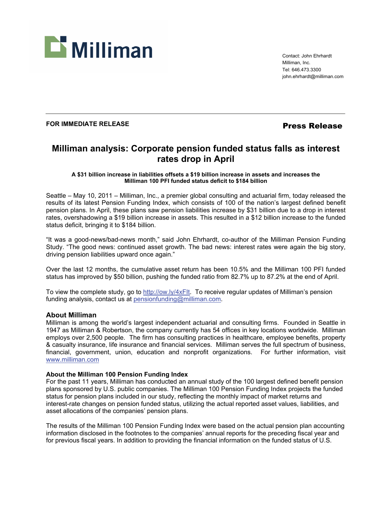

Contact: John Ehrhardt Milliman, Inc. Tel: 646.473.3300 john.ehrhardt@milliman.com

## **FOR IMMEDIATE RELEASE** *Press Release*

# **Milliman analysis: Corporate pension funded status falls as interest rates drop in April**

**A \$31 billion increase in liabilities offsets a \$19 billion increase in assets and increases the Milliman 100 PFI funded status deficit to \$184 billion** 

Seattle – May 10, 2011 – Milliman, Inc., a premier global consulting and actuarial firm, today released the results of its latest Pension Funding Index, which consists of 100 of the nation's largest defined benefit pension plans. In April, these plans saw pension liabilities increase by \$31 billion due to a drop in interest rates, overshadowing a \$19 billion increase in assets. This resulted in a \$12 billion increase to the funded status deficit, bringing it to \$184 billion.

"It was a good-news/bad-news month," said John Ehrhardt, co-author of the Milliman Pension Funding Study. "The good news: continued asset growth. The bad news: interest rates were again the big story, driving pension liabilities upward once again."

Over the last 12 months, the cumulative asset return has been 10.5% and the Milliman 100 PFI funded status has improved by \$50 billion, pushing the funded ratio from 82.7% up to 87.2% at the end of April.

To view the complete study, go to http://ow.ly/4xFIt. To receive regular updates of Milliman's pension funding analysis, contact us at pensionfunding@milliman.com.

## **About Milliman**

Milliman is among the world's largest independent actuarial and consulting firms. Founded in Seattle in 1947 as Milliman & Robertson, the company currently has 54 offices in key locations worldwide. Milliman employs over 2,500 people. The firm has consulting practices in healthcare, employee benefits, property & casualty insurance, life insurance and financial services. Milliman serves the full spectrum of business, financial, government, union, education and nonprofit organizations. For further information, visit www.milliman.com

## **About the Milliman 100 Pension Funding Index**

For the past 11 years, Milliman has conducted an annual study of the 100 largest defined benefit pension plans sponsored by U.S. public companies. The Milliman 100 Pension Funding Index projects the funded status for pension plans included in our study, reflecting the monthly impact of market returns and interest-rate changes on pension funded status, utilizing the actual reported asset values, liabilities, and asset allocations of the companies' pension plans.

The results of the Milliman 100 Pension Funding Index were based on the actual pension plan accounting information disclosed in the footnotes to the companies' annual reports for the preceding fiscal year and for previous fiscal years. In addition to providing the financial information on the funded status of U.S.